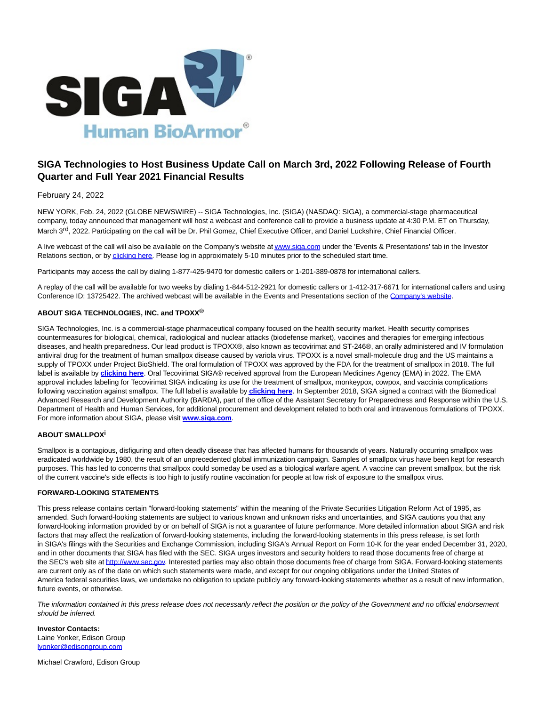

# **SIGA Technologies to Host Business Update Call on March 3rd, 2022 Following Release of Fourth Quarter and Full Year 2021 Financial Results**

## February 24, 2022

NEW YORK, Feb. 24, 2022 (GLOBE NEWSWIRE) -- SIGA Technologies, Inc. (SIGA) (NASDAQ: SIGA), a commercial-stage pharmaceutical company, today announced that management will host a webcast and conference call to provide a business update at 4:30 P.M. ET on Thursday, March 3<sup>rd</sup>, 2022. Participating on the call will be Dr. Phil Gomez, Chief Executive Officer, and Daniel Luckshire, Chief Financial Officer.

A live webcast of the call will also be available on the Company's website a[t www.siga.com u](https://www.globenewswire.com/Tracker?data=2xGIhbRREWWHRwUUkBMbuXl3R54N9JqUS482l0UigQiZhk_MNMml3WnfiIHzr6oVdSGVFseDFgR67zKn7ZzKow==)nder the 'Events & Presentations' tab in the Investor Relations section, or b[y clicking here.](https://www.globenewswire.com/Tracker?data=MpiNFxsMAjk2IRuQF0h1s2pkUxom1ejwtk7jHv-3jawa6503_HA1iimjRj5Xgl1Bi2Vzz5hr3Pln3sK6VSAqD_ntMP1oW1k6z-vvR40lMzEbq32t3bBNcgTrGtc2bdV85mIHlL7jhcwUCBsme8dcXg==) Please log in approximately 5-10 minutes prior to the scheduled start time.

Participants may access the call by dialing 1-877-425-9470 for domestic callers or 1-201-389-0878 for international callers.

A replay of the call will be available for two weeks by dialing 1-844-512-2921 for domestic callers or 1-412-317-6671 for international callers and using Conference ID: 13725422. The archived webcast will be available in the Events and Presentations section of the [Company's website.](https://www.globenewswire.com/Tracker?data=FiJ9putd6C0o06Q_gRvyB4i2j7QwLegF5JzZtb5np2H3ocGad57-cMGMIuWS9jRd4yQS2JfVK3jHQszgB2CuZAbwlb7qH3Fpy7A8phCnQsz3b7Oxo5TEmJiCsuy5wUCn)

# **ABOUT SIGA TECHNOLOGIES, INC. and TPOXX®**

SIGA Technologies, Inc. is a commercial-stage pharmaceutical company focused on the health security market. Health security comprises countermeasures for biological, chemical, radiological and nuclear attacks (biodefense market), vaccines and therapies for emerging infectious diseases, and health preparedness. Our lead product is TPOXX®, also known as tecovirimat and ST-246®, an orally administered and IV formulation antiviral drug for the treatment of human smallpox disease caused by variola virus. TPOXX is a novel small-molecule drug and the US maintains a supply of TPOXX under Project BioShield. The oral formulation of TPOXX was approved by the FDA for the treatment of smallpox in 2018. The full label is available by **[clicking here](https://www.globenewswire.com/Tracker?data=MpiNFxsMAjk2IRuQF0h1s1eDWBXLubM44e6jrfXawXoZRHaG4HaV3fuS12mibwg7gcVSIm8OwbHW8y4QbDea0J8SkYka-aDSzS2bKClE92Rfl2aTYGPYSmy3TveTLpa-YjhiJJpR6gykb583CeemQZdtG4sYbKRnCDurCwDRq4H81X4cCzkIJUsUrRyjNIcLJFDLQaBGcfBRLHU3P925N0761o8-iyQSUQJ24UNc_etoTRC3DbC9YRucf4lJ46I55ZWqKnxkK_xWGjyf7SaA5BQ83790xUtmFLBO6hqn1ud_3plJHJiwJzGS0sMYYK5r)**. Oral Tecovirimat SIGA® received approval from the European Medicines Agency (EMA) in 2022. The EMA approval includes labeling for Tecovirimat SIGA indicating its use for the treatment of smallpox, monkeypox, cowpox, and vaccinia complications following vaccination against smallpox. The full label is available by **[clicking here](https://www.globenewswire.com/Tracker?data=MpiNFxsMAjk2IRuQF0h1s4p6T75ziA3RHME-kK-eYfYbdo_Ru6fFaCq74oNtVjy90e6hYrgEVtR9u3iqg63PUI06mFLg7kSm71eQ7t5wHy4le8AvBozUY55Eje__pzFPP-fJrcsx1wGFq-32LM_E868FQl7Pi9Xi1v3NHw4E4Phf6cFLsGndkINb6-0jNJaw)**. In September 2018, SIGA signed a contract with the Biomedical Advanced Research and Development Authority (BARDA), part of the office of the Assistant Secretary for Preparedness and Response within the U.S. Department of Health and Human Services, for additional procurement and development related to both oral and intravenous formulations of TPOXX. For more information about SIGA, please visit **[www.siga.com](https://www.globenewswire.com/Tracker?data=2xGIhbRREWWHRwUUkBMbuXM9Z2i7x7PqF1kSQ4K3yS_te-xmyLfvOjef3IuLQkmZ0jRliTSamy1z4wTGjBTj9A==)**.

## **ABOUT SMALLPOXi**

Smallpox is a contagious, disfiguring and often deadly disease that has affected humans for thousands of years. Naturally occurring smallpox was eradicated worldwide by 1980, the result of an unprecedented global immunization campaign. Samples of smallpox virus have been kept for research purposes. This has led to concerns that smallpox could someday be used as a biological warfare agent. A vaccine can prevent smallpox, but the risk of the current vaccine's side effects is too high to justify routine vaccination for people at low risk of exposure to the smallpox virus.

#### **FORWARD-LOOKING STATEMENTS**

This press release contains certain "forward-looking statements" within the meaning of the Private Securities Litigation Reform Act of 1995, as amended. Such forward-looking statements are subject to various known and unknown risks and uncertainties, and SIGA cautions you that any forward-looking information provided by or on behalf of SIGA is not a guarantee of future performance. More detailed information about SIGA and risk factors that may affect the realization of forward-looking statements, including the forward-looking statements in this press release, is set forth in SIGA's filings with the Securities and Exchange Commission, including SIGA's Annual Report on Form 10-K for the year ended December 31, 2020, and in other documents that SIGA has filed with the SEC. SIGA urges investors and security holders to read those documents free of charge at the SEC's web site at [http://www.sec.gov.](https://www.globenewswire.com/Tracker?data=ylmAkzG5WjQieWlcPlc-y-5y_gbbMRbq2PZNuK-yYLru8zyQp-LxzPH8aMJNZiUEHXsxF7Sy5aG7nICp5wr-yA==) Interested parties may also obtain those documents free of charge from SIGA. Forward-looking statements are current only as of the date on which such statements were made, and except for our ongoing obligations under the United States of America federal securities laws, we undertake no obligation to update publicly any forward-looking statements whether as a result of new information, future events, or otherwise.

The information contained in this press release does not necessarily reflect the position or the policy of the Government and no official endorsement should be inferred.

**Investor Contacts:** Laine Yonker, Edison Group [lyonker@edisongroup.com](https://www.globenewswire.com/Tracker?data=AdeY-1iiFkQNAoDQd3_gyD2l8tWD0bT_v9LUOFQGqYppNO7Dlcqa1GNeQukFhEfQ_HiEAaNVjj_fLmf4KMYfs6U4lHZBaW7Zglj9s8bxx8I=)

Michael Crawford, Edison Group